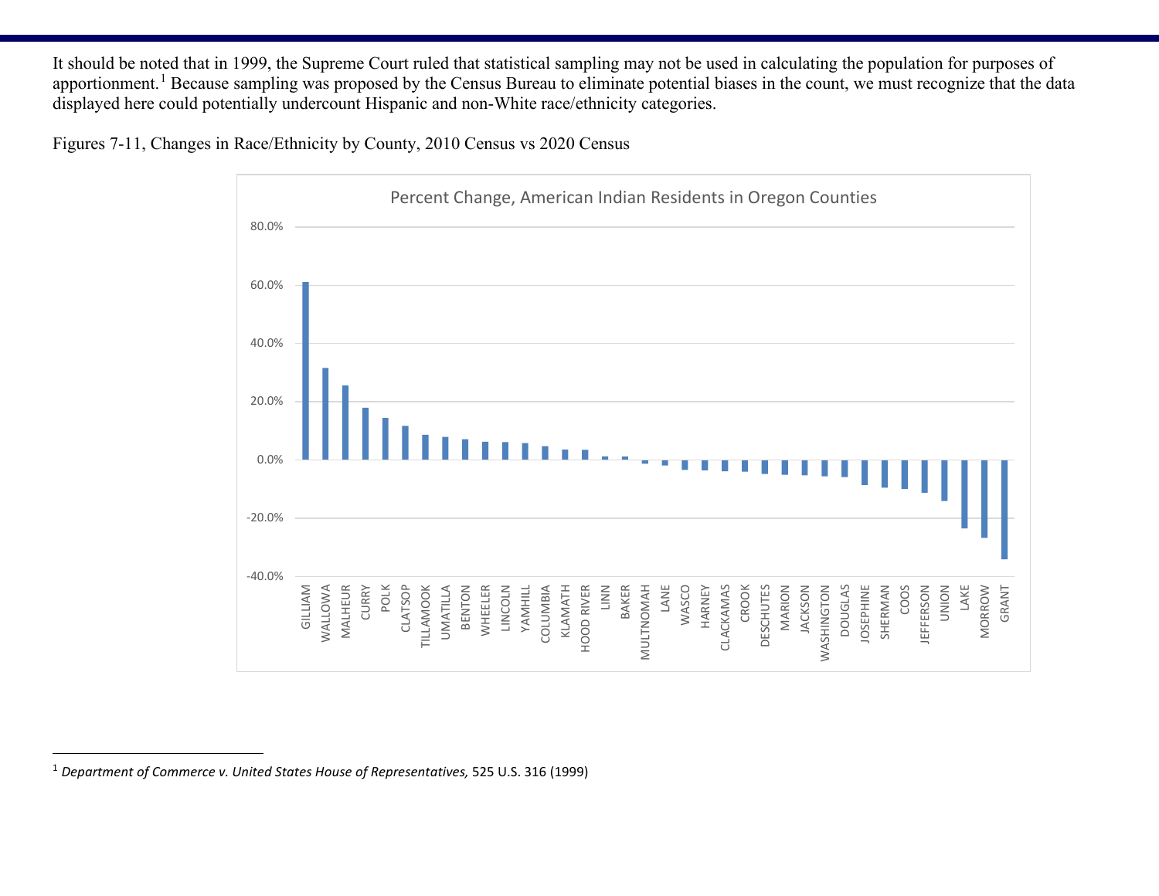It should be noted that in 1999, the Supreme Court ruled that statistical sampling may not be used in calculating the population for purposes of apportionment.<sup>[1](#page-11-0)</sup> Because sampling was proposed by the Census Bureau to eliminate potential biases in the count, we must recognize that the data displayed here could potentially undercount Hispanic and non-White race/ethnicity categories.

Figures 7-11, Changes in Race/Ethnicity by County, 2010 Census vs 2020 Census

<span id="page-11-0"></span>

<sup>1</sup> *Department of Commerce v. United States House of Representatives,* 525 U.S. 316 (1999)